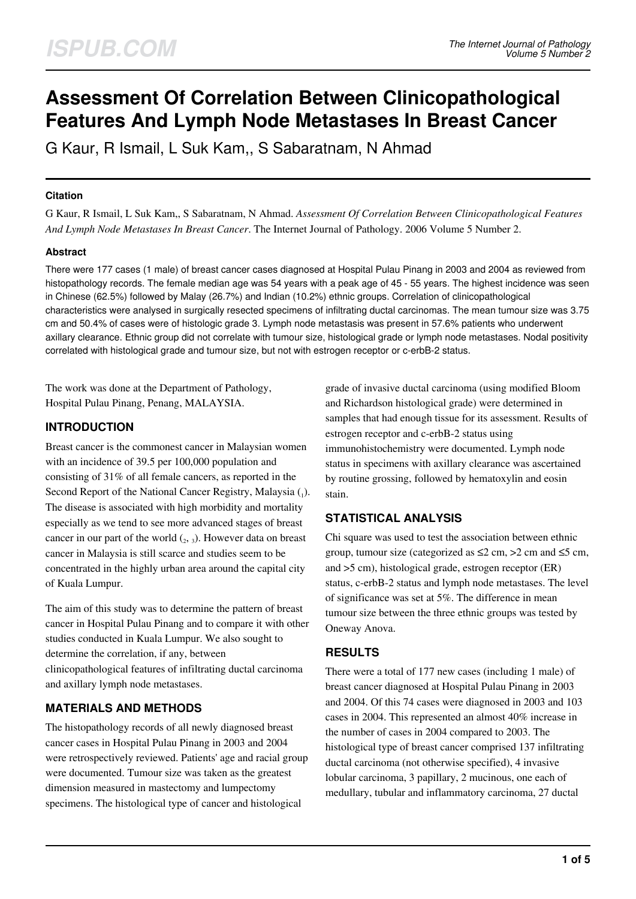# **Assessment Of Correlation Between Clinicopathological Features And Lymph Node Metastases In Breast Cancer**

G Kaur, R Ismail, L Suk Kam,, S Sabaratnam, N Ahmad

#### **Citation**

G Kaur, R Ismail, L Suk Kam,, S Sabaratnam, N Ahmad. *Assessment Of Correlation Between Clinicopathological Features And Lymph Node Metastases In Breast Cancer*. The Internet Journal of Pathology. 2006 Volume 5 Number 2.

#### **Abstract**

There were 177 cases (1 male) of breast cancer cases diagnosed at Hospital Pulau Pinang in 2003 and 2004 as reviewed from histopathology records. The female median age was 54 years with a peak age of 45 - 55 years. The highest incidence was seen in Chinese (62.5%) followed by Malay (26.7%) and Indian (10.2%) ethnic groups. Correlation of clinicopathological characteristics were analysed in surgically resected specimens of infiltrating ductal carcinomas. The mean tumour size was 3.75 cm and 50.4% of cases were of histologic grade 3. Lymph node metastasis was present in 57.6% patients who underwent axillary clearance. Ethnic group did not correlate with tumour size, histological grade or lymph node metastases. Nodal positivity correlated with histological grade and tumour size, but not with estrogen receptor or c-erbB-2 status.

The work was done at the Department of Pathology, Hospital Pulau Pinang, Penang, MALAYSIA.

## **INTRODUCTION**

Breast cancer is the commonest cancer in Malaysian women with an incidence of 39.5 per 100,000 population and consisting of 31% of all female cancers, as reported in the Second Report of the National Cancer Registry, Malaysia  $_{(1)}$ . The disease is associated with high morbidity and mortality especially as we tend to see more advanced stages of breast cancer in our part of the world  $(_2, _3)$ . However data on breast cancer in Malaysia is still scarce and studies seem to be concentrated in the highly urban area around the capital city of Kuala Lumpur.

The aim of this study was to determine the pattern of breast cancer in Hospital Pulau Pinang and to compare it with other studies conducted in Kuala Lumpur. We also sought to determine the correlation, if any, between clinicopathological features of infiltrating ductal carcinoma and axillary lymph node metastases.

## **MATERIALS AND METHODS**

The histopathology records of all newly diagnosed breast cancer cases in Hospital Pulau Pinang in 2003 and 2004 were retrospectively reviewed. Patients' age and racial group were documented. Tumour size was taken as the greatest dimension measured in mastectomy and lumpectomy specimens. The histological type of cancer and histological

grade of invasive ductal carcinoma (using modified Bloom and Richardson histological grade) were determined in samples that had enough tissue for its assessment. Results of estrogen receptor and c-erbB-2 status using immunohistochemistry were documented. Lymph node status in specimens with axillary clearance was ascertained by routine grossing, followed by hematoxylin and eosin stain.

# **STATISTICAL ANALYSIS**

Chi square was used to test the association between ethnic group, tumour size (categorized as  $\leq 2$  cm,  $>2$  cm and  $\leq 5$  cm, and >5 cm), histological grade, estrogen receptor (ER) status, c-erbB-2 status and lymph node metastases. The level of significance was set at 5%. The difference in mean tumour size between the three ethnic groups was tested by Oneway Anova.

## **RESULTS**

There were a total of 177 new cases (including 1 male) of breast cancer diagnosed at Hospital Pulau Pinang in 2003 and 2004. Of this 74 cases were diagnosed in 2003 and 103 cases in 2004. This represented an almost 40% increase in the number of cases in 2004 compared to 2003. The histological type of breast cancer comprised 137 infiltrating ductal carcinoma (not otherwise specified), 4 invasive lobular carcinoma, 3 papillary, 2 mucinous, one each of medullary, tubular and inflammatory carcinoma, 27 ductal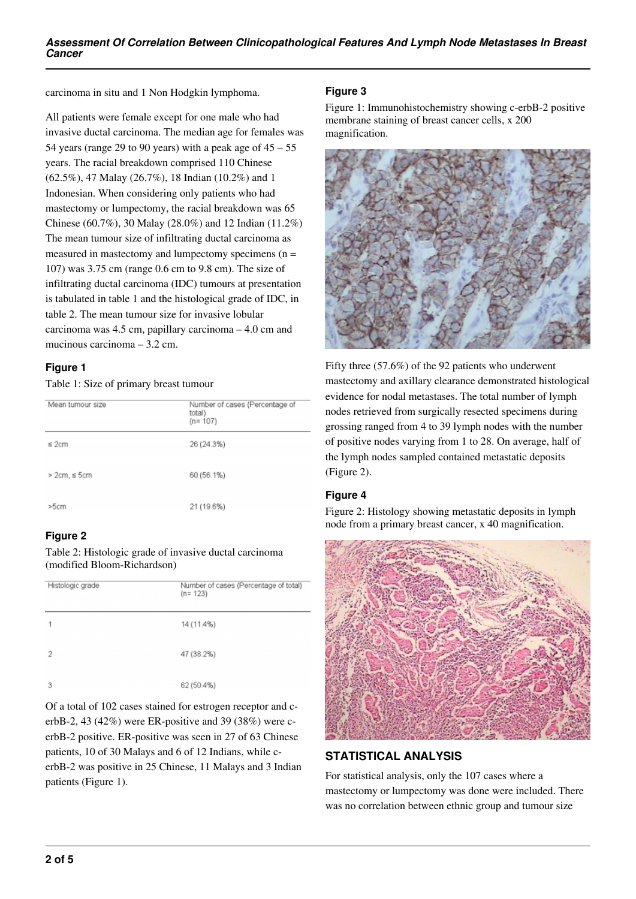carcinoma in situ and 1 Non Hodgkin lymphoma.

All patients were female except for one male who had invasive ductal carcinoma. The median age for females was 54 years (range 29 to 90 years) with a peak age of  $45 - 55$ years. The racial breakdown comprised 110 Chinese (62.5%), 47 Malay (26.7%), 18 Indian (10.2%) and 1 Indonesian. When considering only patients who had mastectomy or lumpectomy, the racial breakdown was 65 Chinese (60.7%), 30 Malay (28.0%) and 12 Indian (11.2%) The mean tumour size of infiltrating ductal carcinoma as measured in mastectomy and lumpectomy specimens  $(n =$ 107) was 3.75 cm (range 0.6 cm to 9.8 cm). The size of infiltrating ductal carcinoma (IDC) tumours at presentation is tabulated in table 1 and the histological grade of IDC, in table 2. The mean tumour size for invasive lobular carcinoma was 4.5 cm, papillary carcinoma – 4.0 cm and mucinous carcinoma – 3.2 cm.

#### **Figure 1**

Table 1: Size of primary breast tumour

| Mean tumour size    | Number of cases (Percentage of<br>total)<br>$(n = 107)$ |
|---------------------|---------------------------------------------------------|
| $\leq$ 2cm          | 26 (24.3%)                                              |
| $>2$ cm, $\leq$ 5cm | 60 (56.1%)                                              |
| >5cm                | 21 (19.6%)                                              |

#### **Figure 2**

Table 2: Histologic grade of invasive ductal carcinoma (modified Bloom-Richardson)

| Histologic grade | Number of cases (Percentage of total)<br>$(n = 123)$ |
|------------------|------------------------------------------------------|
| 1                | 14 (11.4%)                                           |
| 2                | 47 (38.2%)                                           |
| 3                | 62 (50.4%)                                           |

Of a total of 102 cases stained for estrogen receptor and cerbB-2, 43 (42%) were ER-positive and 39 (38%) were cerbB-2 positive. ER-positive was seen in 27 of 63 Chinese patients, 10 of 30 Malays and 6 of 12 Indians, while cerbB-2 was positive in 25 Chinese, 11 Malays and 3 Indian patients (Figure 1).

### **Figure 3**

Figure 1: Immunohistochemistry showing c-erbB-2 positive membrane staining of breast cancer cells, x 200 magnification.



Fifty three (57.6%) of the 92 patients who underwent mastectomy and axillary clearance demonstrated histological evidence for nodal metastases. The total number of lymph nodes retrieved from surgically resected specimens during grossing ranged from 4 to 39 lymph nodes with the number of positive nodes varying from 1 to 28. On average, half of the lymph nodes sampled contained metastatic deposits (Figure 2).

## **Figure 4**

Figure 2: Histology showing metastatic deposits in lymph node from a primary breast cancer, x 40 magnification.



# **STATISTICAL ANALYSIS**

For statistical analysis, only the 107 cases where a mastectomy or lumpectomy was done were included. There was no correlation between ethnic group and tumour size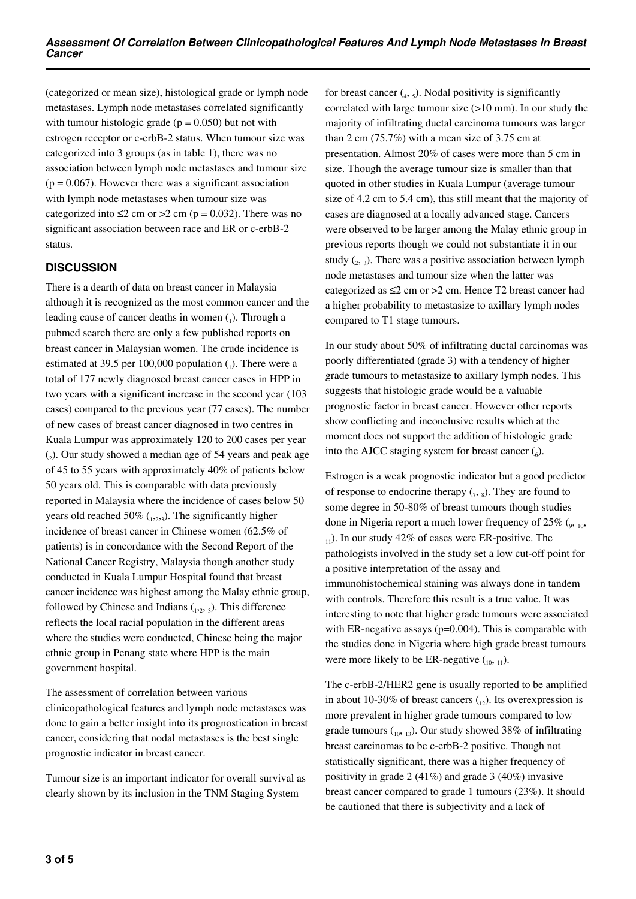(categorized or mean size), histological grade or lymph node metastases. Lymph node metastases correlated significantly with tumour histologic grade ( $p = 0.050$ ) but not with estrogen receptor or c-erbB-2 status. When tumour size was categorized into 3 groups (as in table 1), there was no association between lymph node metastases and tumour size  $(p = 0.067)$ . However there was a significant association with lymph node metastases when tumour size was categorized into  $\leq$  2 cm or  $>$  2 cm (p = 0.032). There was no significant association between race and ER or c-erbB-2 status.

## **DISCUSSION**

There is a dearth of data on breast cancer in Malaysia although it is recognized as the most common cancer and the leading cause of cancer deaths in women  $(_1)$ . Through a pubmed search there are only a few published reports on breast cancer in Malaysian women. The crude incidence is estimated at 39.5 per 100,000 population  $_{(1)}$ . There were a total of 177 newly diagnosed breast cancer cases in HPP in two years with a significant increase in the second year (103 cases) compared to the previous year (77 cases). The number of new cases of breast cancer diagnosed in two centres in Kuala Lumpur was approximately 120 to 200 cases per year (2 ). Our study showed a median age of 54 years and peak age of 45 to 55 years with approximately 40% of patients below 50 years old. This is comparable with data previously reported in Malaysia where the incidence of cases below 50 years old reached 50%  $_{(1,2,3)}$ . The significantly higher incidence of breast cancer in Chinese women (62.5% of patients) is in concordance with the Second Report of the National Cancer Registry, Malaysia though another study conducted in Kuala Lumpur Hospital found that breast cancer incidence was highest among the Malay ethnic group, followed by Chinese and Indians  $_{1,2}$ ,  $_{3}$ ). This difference reflects the local racial population in the different areas where the studies were conducted, Chinese being the major ethnic group in Penang state where HPP is the main government hospital.

The assessment of correlation between various clinicopathological features and lymph node metastases was done to gain a better insight into its prognostication in breast cancer, considering that nodal metastases is the best single prognostic indicator in breast cancer.

Tumour size is an important indicator for overall survival as clearly shown by its inclusion in the TNM Staging System

for breast cancer  $\left(_{4}, 5\right)$ . Nodal positivity is significantly correlated with large tumour size (>10 mm). In our study the majority of infiltrating ductal carcinoma tumours was larger than 2 cm (75.7%) with a mean size of 3.75 cm at presentation. Almost 20% of cases were more than 5 cm in size. Though the average tumour size is smaller than that quoted in other studies in Kuala Lumpur (average tumour size of 4.2 cm to 5.4 cm), this still meant that the majority of cases are diagnosed at a locally advanced stage. Cancers were observed to be larger among the Malay ethnic group in previous reports though we could not substantiate it in our study  $({}_{2}, {}_{3})$ . There was a positive association between lymph node metastases and tumour size when the latter was categorized as ≤2 cm or >2 cm. Hence T2 breast cancer had a higher probability to metastasize to axillary lymph nodes compared to T1 stage tumours.

In our study about 50% of infiltrating ductal carcinomas was poorly differentiated (grade 3) with a tendency of higher grade tumours to metastasize to axillary lymph nodes. This suggests that histologic grade would be a valuable prognostic factor in breast cancer. However other reports show conflicting and inconclusive results which at the moment does not support the addition of histologic grade into the AJCC staging system for breast cancer  $(_6)$ .

Estrogen is a weak prognostic indicator but a good predictor of response to endocrine therapy  $(7, 8)$ . They are found to some degree in 50-80% of breast tumours though studies done in Nigeria report a much lower frequency of  $25\%$  ( $_{9}$ ,  $_{10}$ ,  $_{11}$ ). In our study 42% of cases were ER-positive. The pathologists involved in the study set a low cut-off point for a positive interpretation of the assay and immunohistochemical staining was always done in tandem with controls. Therefore this result is a true value. It was interesting to note that higher grade tumours were associated with ER-negative assays (p=0.004). This is comparable with the studies done in Nigeria where high grade breast tumours were more likely to be ER-negative  $\binom{10, 11}{10, 11}$ .

The c-erbB-2/HER2 gene is usually reported to be amplified in about 10-30% of breast cancers  $_{(12)}$ . Its overexpression is more prevalent in higher grade tumours compared to low grade tumours  $\binom{10}{10}$  13). Our study showed 38% of infiltrating breast carcinomas to be c-erbB-2 positive. Though not statistically significant, there was a higher frequency of positivity in grade 2 (41%) and grade 3 (40%) invasive breast cancer compared to grade 1 tumours (23%). It should be cautioned that there is subjectivity and a lack of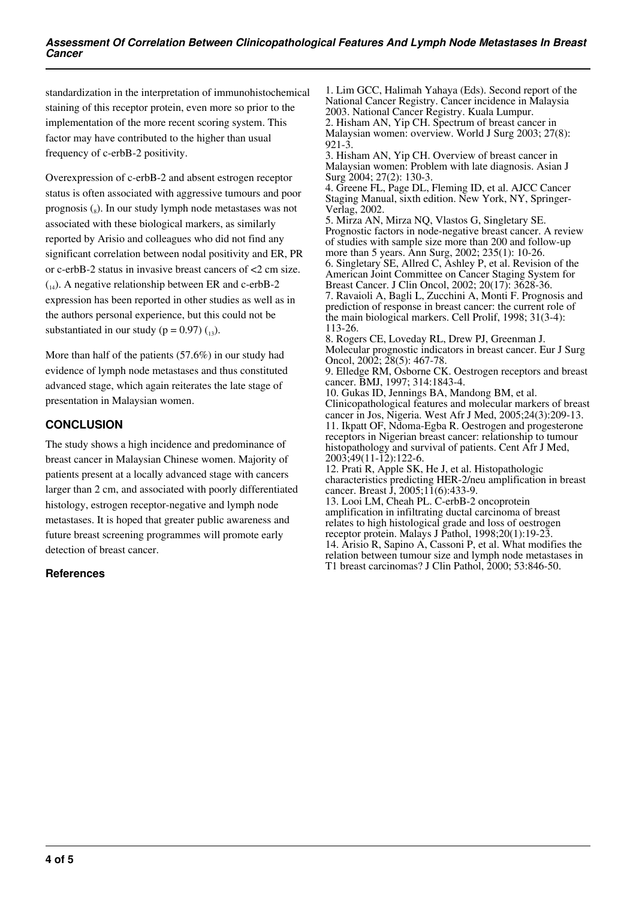standardization in the interpretation of immunohistochemical staining of this receptor protein, even more so prior to the implementation of the more recent scoring system. This factor may have contributed to the higher than usual frequency of c-erbB-2 positivity.

Overexpression of c-erbB-2 and absent estrogen receptor status is often associated with aggressive tumours and poor prognosis (s). In our study lymph node metastases was not associated with these biological markers, as similarly reported by Arisio and colleagues who did not find any significant correlation between nodal positivity and ER, PR or c-erbB-2 status in invasive breast cancers of <2 cm size.  $_{(14)}$ . A negative relationship between ER and c-erbB-2 expression has been reported in other studies as well as in the authors personal experience, but this could not be substantiated in our study ( $p = 0.97$ ) ( $_{13}$ ).

More than half of the patients (57.6%) in our study had evidence of lymph node metastases and thus constituted advanced stage, which again reiterates the late stage of presentation in Malaysian women.

## **CONCLUSION**

The study shows a high incidence and predominance of breast cancer in Malaysian Chinese women. Majority of patients present at a locally advanced stage with cancers larger than 2 cm, and associated with poorly differentiated histology, estrogen receptor-negative and lymph node metastases. It is hoped that greater public awareness and future breast screening programmes will promote early detection of breast cancer.

#### **References**

1. Lim GCC, Halimah Yahaya (Eds). Second report of the National Cancer Registry. Cancer incidence in Malaysia 2003. National Cancer Registry. Kuala Lumpur. 2. Hisham AN, Yip CH. Spectrum of breast cancer in Malaysian women: overview. World J Surg 2003; 27(8): 921-3.

3. Hisham AN, Yip CH. Overview of breast cancer in Malaysian women: Problem with late diagnosis. Asian J Surg 2004; 27(2): 130-3.

4. Greene FL, Page DL, Fleming ID, et al. AJCC Cancer Staging Manual, sixth edition. New York, NY, Springer-Verlag, 2002.

5. Mirza AN, Mirza NQ, Vlastos G, Singletary SE. Prognostic factors in node-negative breast cancer. A review of studies with sample size more than 200 and follow-up more than 5 years. Ann Surg, 2002; 235(1): 10-26. 6. Singletary SE, Allred C, Ashley P, et al. Revision of the American Joint Committee on Cancer Staging System for Breast Cancer. J Clin Oncol, 2002; 20(17): 3628-36. 7. Ravaioli A, Bagli L, Zucchini A, Monti F. Prognosis and prediction of response in breast cancer: the current role of the main biological markers. Cell Prolif, 1998; 31(3-4):

113-26. 8. Rogers CE, Loveday RL, Drew PJ, Greenman J. Molecular prognostic indicators in breast cancer. Eur J Surg Oncol, 2002; 28(5): 467-78.

9. Elledge RM, Osborne CK. Oestrogen receptors and breast cancer. BMJ, 1997; 314:1843-4.

10. Gukas ID, Jennings BA, Mandong BM, et al. Clinicopathological features and molecular markers of breast cancer in Jos, Nigeria. West Afr J Med, 2005;24(3):209-13. 11. Ikpatt OF, Ndoma-Egba R. Oestrogen and progesterone receptors in Nigerian breast cancer: relationship to tumour histopathology and survival of patients. Cent Afr J Med, 2003;49(11-12):122-6.

12. Prati R, Apple SK, He J, et al. Histopathologic characteristics predicting HER-2/neu amplification in breast cancer. Breast  $\hat{J}$ , 2005; $1\hat{1}(6)$ :433-9.

13. Looi LM, Cheah PL. C-erbB-2 oncoprotein amplification in infiltrating ductal carcinoma of breast relates to high histological grade and loss of oestrogen receptor protein. Malays J Pathol, 1998;20(1):19-23. 14. Arisio R, Sapino A, Cassoni P, et al. What modifies the relation between tumour size and lymph node metastases in T1 breast carcinomas? J Clin Pathol, 2000; 53:846-50.